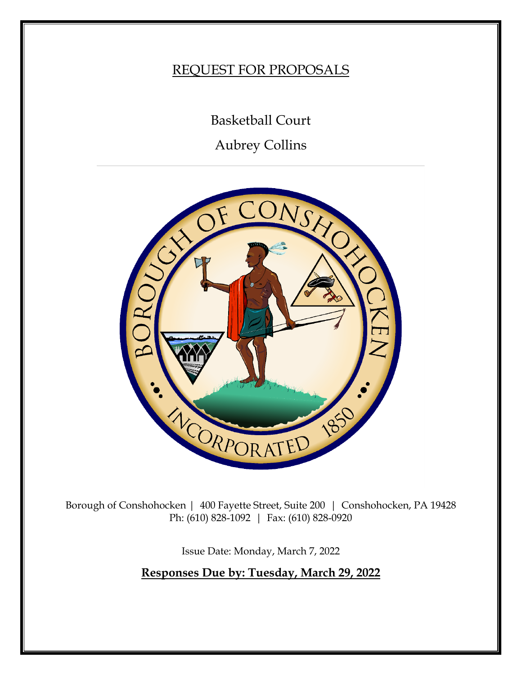# REQUEST FOR PROPOSALS

Basketball Court

Aubrey Collins



Borough of Conshohocken | 400 Fayette Street, Suite 200 | Conshohocken, PA 19428 Ph: (610) 828-1092 | Fax: (610) 828-0920

Issue Date: Monday, March 7, 2022

**Responses Due by: Tuesday, March 29, 2022**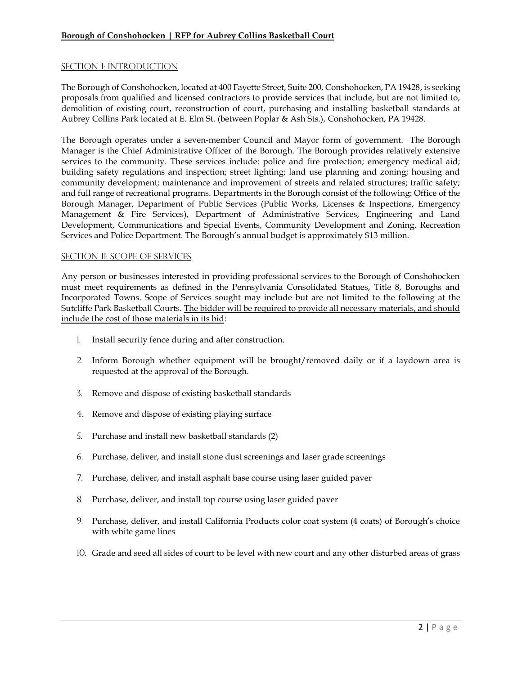# **Borough of Conshohocken | RFP for Aubrey Collins Basketball Court**

## SECTION I: INTRODUCTION

The Borough of Conshohocken, located at 400 Fayette Street, Suite 200, Conshohocken, PA 19428, is seeking proposals from qualified and licensed contractors to provide services that include, but are not limited to, demolition of existing court, reconstruction of court, purchasing and installing basketball standards at Aubrey Collins Park located at E. Elm St. (between Poplar & Ash Sts.), Conshohocken, PA 19428.

The Borough operates under a seven-member Council and Mayor form of government. The Borough Manager is the Chief Administrative Officer of the Borough. The Borough provides relatively extensive services to the community. These services include: police and fire protection; emergency medical aid; building safety regulations and inspection; street lighting; land use planning and zoning; housing and community development; maintenance and improvement of streets and related structures; traffic safety; and full range of recreational programs. Departments in the Borough consist of the following: Office of the Borough Manager, Department of Public Services (Public Works, Licenses & Inspections, Emergency Management & Fire Services), Department of Administrative Services, Engineering and Land Development, Communications and Special Events, Community Development and Zoning, Recreation Services and Police Department. The Borough's annual budget is approximately \$13 million.

#### SECTION II: SCOPE OF services

Any person or businesses interested in providing professional services to the Borough of Conshohocken must meet requirements as defined in the Pennsylvania Consolidated Statues, Title 8, Boroughs and Incorporated Towns. Scope of Services sought may include but are not limited to the following at the Sutcliffe Park Basketball Courts. The bidder will be required to provide all necessary materials, and should include the cost of those materials in its bid:

- 1. Install security fence during and after construction.
- 2. Inform Borough whether equipment will be brought/removed daily or if a laydown area is requested at the approval of the Borough.
- 3. Remove and dispose of existing basketball standards
- 4. Remove and dispose of existing playing surface
- 5. Purchase and install new basketball standards (2)
- 6. Purchase, deliver, and install stone dust screenings and laser grade screenings
- 7. Purchase, deliver, and install asphalt base course using laser guided paver
- 8. Purchase, deliver, and install top course using laser guided paver
- 9. Purchase, deliver, and install California Products color coat system (4 coats) of Borough's choice with white game lines
- 10. Grade and seed all sides of court to be level with new court and any other disturbed areas of grass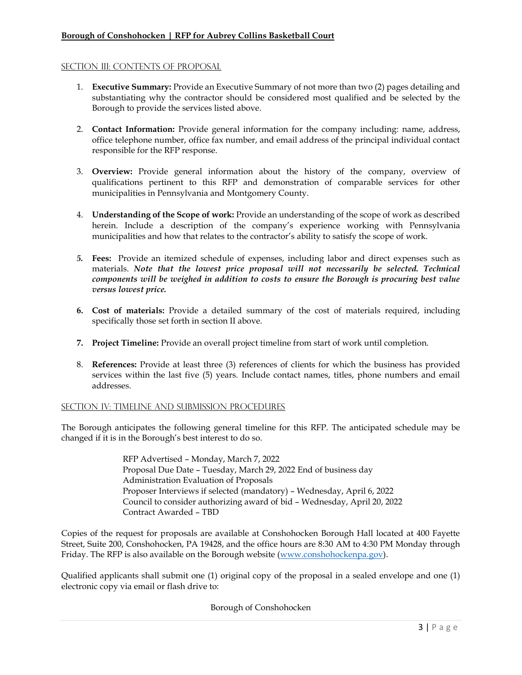# **Borough of Conshohocken | RFP for Aubrey Collins Basketball Court**

#### SECTION III: CONTENTS OF PROPOSAL

- 1. **Executive Summary:** Provide an Executive Summary of not more than two (2) pages detailing and substantiating why the contractor should be considered most qualified and be selected by the Borough to provide the services listed above.
- 2. **Contact Information:** Provide general information for the company including: name, address, office telephone number, office fax number, and email address of the principal individual contact responsible for the RFP response.
- 3. **Overview:** Provide general information about the history of the company, overview of qualifications pertinent to this RFP and demonstration of comparable services for other municipalities in Pennsylvania and Montgomery County.
- 4. **Understanding of the Scope of work:** Provide an understanding of the scope of work as described herein. Include a description of the company's experience working with Pennsylvania municipalities and how that relates to the contractor's ability to satisfy the scope of work.
- *5.* **Fees:** Provide an itemized schedule of expenses, including labor and direct expenses such as materials. *Note that the lowest price proposal will not necessarily be selected. Technical components will be weighed in addition to costs to ensure the Borough is procuring best value versus lowest price.*
- **6. Cost of materials:** Provide a detailed summary of the cost of materials required, including specifically those set forth in section II above.
- **7. Project Timeline:** Provide an overall project timeline from start of work until completion.
- 8. **References:** Provide at least three (3) references of clients for which the business has provided services within the last five (5) years. Include contact names, titles, phone numbers and email addresses.

## SECTION IV: TIMELINE AND SUBMISSION PROCEDURES

The Borough anticipates the following general timeline for this RFP. The anticipated schedule may be changed if it is in the Borough's best interest to do so.

> RFP Advertised – Monday, March 7, 2022 Proposal Due Date – Tuesday, March 29, 2022 End of business day Administration Evaluation of Proposals Proposer Interviews if selected (mandatory) – Wednesday, April 6, 2022 Council to consider authorizing award of bid – Wednesday, April 20, 2022 Contract Awarded – TBD

Copies of the request for proposals are available at Conshohocken Borough Hall located at 400 Fayette Street, Suite 200, Conshohocken, PA 19428, and the office hours are 8:30 AM to 4:30 PM Monday through Friday. The RFP is also available on the Borough website [\(www.conshohockenpa.gov\)](http://www.conshohockenpa.gov/).

Qualified applicants shall submit one (1) original copy of the proposal in a sealed envelope and one (1) electronic copy via email or flash drive to:

## Borough of Conshohocken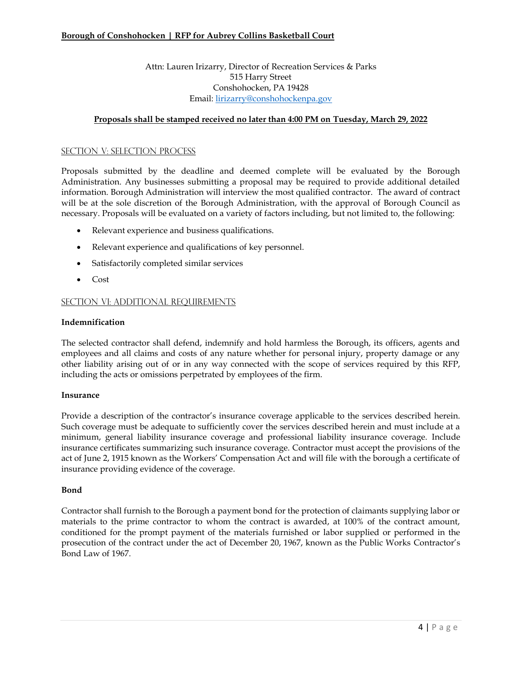## Attn: Lauren Irizarry, Director of Recreation Services & Parks 515 Harry Street Conshohocken, PA 19428 Email: [lirizarry@conshohockenpa.gov](mailto:lirizarry@conshohockenpa.gov)

## **Proposals shall be stamped received no later than 4:00 PM on Tuesday, March 29, 2022**

#### SECTION V: Selection Process

Proposals submitted by the deadline and deemed complete will be evaluated by the Borough Administration. Any businesses submitting a proposal may be required to provide additional detailed information. Borough Administration will interview the most qualified contractor. The award of contract will be at the sole discretion of the Borough Administration, with the approval of Borough Council as necessary. Proposals will be evaluated on a variety of factors including, but not limited to, the following:

- Relevant experience and business qualifications.
- Relevant experience and qualifications of key personnel.
- Satisfactorily completed similar services
- Cost

#### SECTION VI: ADDITIONAL REQUIREMENTS

#### **Indemnification**

The selected contractor shall defend, indemnify and hold harmless the Borough, its officers, agents and employees and all claims and costs of any nature whether for personal injury, property damage or any other liability arising out of or in any way connected with the scope of services required by this RFP, including the acts or omissions perpetrated by employees of the firm.

#### **Insurance**

Provide a description of the contractor's insurance coverage applicable to the services described herein. Such coverage must be adequate to sufficiently cover the services described herein and must include at a minimum, general liability insurance coverage and professional liability insurance coverage. Include insurance certificates summarizing such insurance coverage. Contractor must accept the provisions of the act of June 2, 1915 known as the Workers' Compensation Act and will file with the borough a certificate of insurance providing evidence of the coverage.

#### **Bond**

Contractor shall furnish to the Borough a payment bond for the protection of claimants supplying labor or materials to the prime contractor to whom the contract is awarded, at 100% of the contract amount, conditioned for the prompt payment of the materials furnished or labor supplied or performed in the prosecution of the contract under the act of December 20, 1967, known as the Public Works Contractor's Bond Law of 1967.